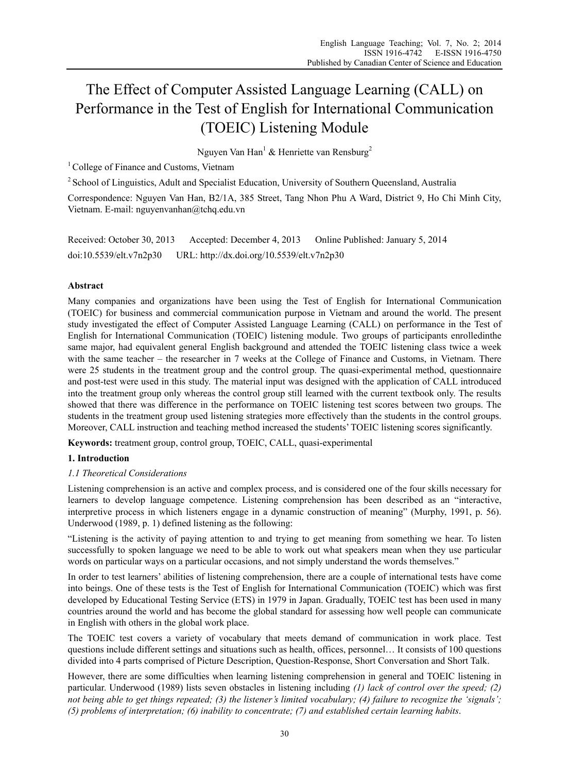# The Effect of Computer Assisted Language Learning (CALL) on Performance in the Test of English for International Communication (TOEIC) Listening Module

Nguyen Van Han<sup>1</sup> & Henriette van Rensburg<sup>2</sup>

<sup>1</sup> College of Finance and Customs, Vietnam

2 School of Linguistics, Adult and Specialist Education, University of Southern Queensland, Australia

Correspondence: Nguyen Van Han, B2/1A, 385 Street, Tang Nhon Phu A Ward, District 9, Ho Chi Minh City, Vietnam. E-mail: nguyenvanhan@tchq.edu.vn

Received: October 30, 2013 Accepted: December 4, 2013 Online Published: January 5, 2014 doi:10.5539/elt.v7n2p30 URL: http://dx.doi.org/10.5539/elt.v7n2p30

# **Abstract**

Many companies and organizations have been using the Test of English for International Communication (TOEIC) for business and commercial communication purpose in Vietnam and around the world. The present study investigated the effect of Computer Assisted Language Learning (CALL) on performance in the Test of English for International Communication (TOEIC) listening module. Two groups of participants enrolledinthe same major, had equivalent general English background and attended the TOEIC listening class twice a week with the same teacher – the researcher in 7 weeks at the College of Finance and Customs, in Vietnam. There were 25 students in the treatment group and the control group. The quasi-experimental method, questionnaire and post-test were used in this study. The material input was designed with the application of CALL introduced into the treatment group only whereas the control group still learned with the current textbook only. The results showed that there was difference in the performance on TOEIC listening test scores between two groups. The students in the treatment group used listening strategies more effectively than the students in the control groups. Moreover, CALL instruction and teaching method increased the students' TOEIC listening scores significantly.

**Keywords:** treatment group, control group, TOEIC, CALL, quasi-experimental

# **1. Introduction**

# *1.1 Theoretical Considerations*

Listening comprehension is an active and complex process, and is considered one of the four skills necessary for learners to develop language competence. Listening comprehension has been described as an "interactive, interpretive process in which listeners engage in a dynamic construction of meaning" (Murphy, 1991, p. 56). Underwood (1989, p. 1) defined listening as the following:

"Listening is the activity of paying attention to and trying to get meaning from something we hear. To listen successfully to spoken language we need to be able to work out what speakers mean when they use particular words on particular ways on a particular occasions, and not simply understand the words themselves."

In order to test learners' abilities of listening comprehension, there are a couple of international tests have come into beings. One of these tests is the Test of English for International Communication (TOEIC) which was first developed by Educational Testing Service (ETS) in 1979 in Japan. Gradually, TOEIC test has been used in many countries around the world and has become the global standard for assessing how well people can communicate in English with others in the global work place.

The TOEIC test covers a variety of vocabulary that meets demand of communication in work place. Test questions include different settings and situations such as health, offices, personnel… It consists of 100 questions divided into 4 parts comprised of Picture Description, Question-Response, Short Conversation and Short Talk.

However, there are some difficulties when learning listening comprehension in general and TOEIC listening in particular. Underwood (1989) lists seven obstacles in listening including *(1) lack of control over the speed; (2) not being able to get things repeated; (3) the listener's limited vocabulary; (4) failure to recognize the 'signals'; (5) problems of interpretation; (6) inability to concentrate; (7) and established certain learning habits*.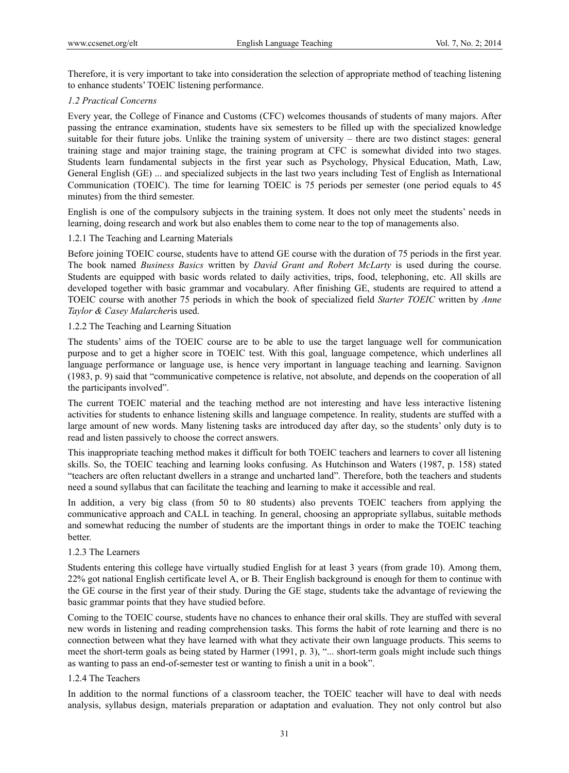Therefore, it is very important to take into consideration the selection of appropriate method of teaching listening to enhance students' TOEIC listening performance.

# *1.2 Practical Concerns*

Every year, the College of Finance and Customs (CFC) welcomes thousands of students of many majors. After passing the entrance examination, students have six semesters to be filled up with the specialized knowledge suitable for their future jobs. Unlike the training system of university – there are two distinct stages: general training stage and major training stage, the training program at CFC is somewhat divided into two stages. Students learn fundamental subjects in the first year such as Psychology, Physical Education, Math, Law, General English (GE) ... and specialized subjects in the last two years including Test of English as International Communication (TOEIC). The time for learning TOEIC is 75 periods per semester (one period equals to 45 minutes) from the third semester.

English is one of the compulsory subjects in the training system. It does not only meet the students' needs in learning, doing research and work but also enables them to come near to the top of managements also.

# 1.2.1 The Teaching and Learning Materials

Before joining TOEIC course, students have to attend GE course with the duration of 75 periods in the first year. The book named *Business Basics* written by *David Grant and Robert McLarty* is used during the course. Students are equipped with basic words related to daily activities, trips, food, telephoning, etc. All skills are developed together with basic grammar and vocabulary. After finishing GE, students are required to attend a TOEIC course with another 75 periods in which the book of specialized field *Starter TOEIC* written by *Anne Taylor & Casey Malarcher*is used.

# 1.2.2 The Teaching and Learning Situation

The students' aims of the TOEIC course are to be able to use the target language well for communication purpose and to get a higher score in TOEIC test. With this goal, language competence, which underlines all language performance or language use, is hence very important in language teaching and learning. Savignon (1983, p. 9) said that "communicative competence is relative, not absolute, and depends on the cooperation of all the participants involved".

The current TOEIC material and the teaching method are not interesting and have less interactive listening activities for students to enhance listening skills and language competence. In reality, students are stuffed with a large amount of new words. Many listening tasks are introduced day after day, so the students' only duty is to read and listen passively to choose the correct answers.

This inappropriate teaching method makes it difficult for both TOEIC teachers and learners to cover all listening skills. So, the TOEIC teaching and learning looks confusing. As Hutchinson and Waters (1987, p. 158) stated "teachers are often reluctant dwellers in a strange and uncharted land". Therefore, both the teachers and students need a sound syllabus that can facilitate the teaching and learning to make it accessible and real.

In addition, a very big class (from 50 to 80 students) also prevents TOEIC teachers from applying the communicative approach and CALL in teaching. In general, choosing an appropriate syllabus, suitable methods and somewhat reducing the number of students are the important things in order to make the TOEIC teaching **better** 

# 1.2.3 The Learners

Students entering this college have virtually studied English for at least 3 years (from grade 10). Among them, 22% got national English certificate level A, or B. Their English background is enough for them to continue with the GE course in the first year of their study. During the GE stage, students take the advantage of reviewing the basic grammar points that they have studied before.

Coming to the TOEIC course, students have no chances to enhance their oral skills. They are stuffed with several new words in listening and reading comprehension tasks. This forms the habit of rote learning and there is no connection between what they have learned with what they activate their own language products. This seems to meet the short-term goals as being stated by Harmer (1991, p. 3), "... short-term goals might include such things as wanting to pass an end-of-semester test or wanting to finish a unit in a book".

# 1.2.4 The Teachers

In addition to the normal functions of a classroom teacher, the TOEIC teacher will have to deal with needs analysis, syllabus design, materials preparation or adaptation and evaluation. They not only control but also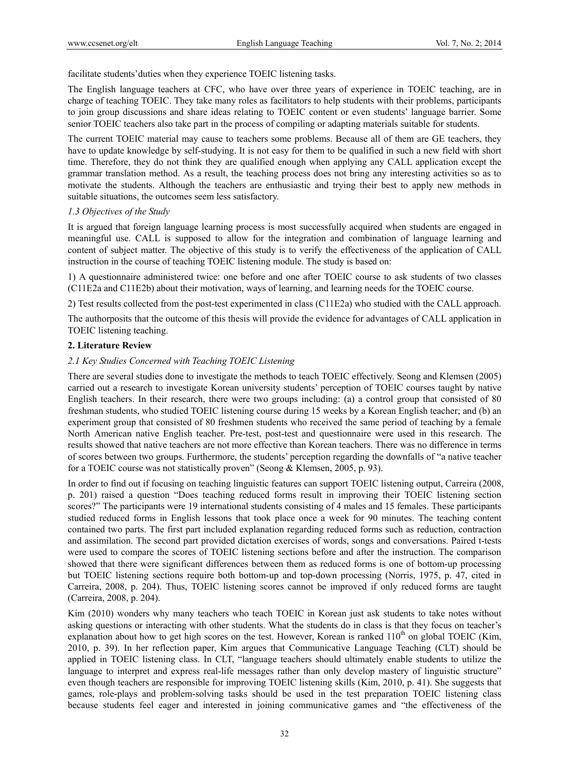facilitate students'duties when they experience TOEIC listening tasks.

The English language teachers at CFC, who have over three years of experience in TOEIC teaching, are in charge of teaching TOEIC. They take many roles as facilitators to help students with their problems, participants to join group discussions and share ideas relating to TOEIC content or even students' language barrier. Some senior TOEIC teachers also take part in the process of compiling or adapting materials suitable for students.

The current TOEIC material may cause to teachers some problems. Because all of them are GE teachers, they have to update knowledge by self-studying. It is not easy for them to be qualified in such a new field with short time. Therefore, they do not think they are qualified enough when applying any CALL application except the grammar translation method. As a result, the teaching process does not bring any interesting activities so as to motivate the students. Although the teachers are enthusiastic and trying their best to apply new methods in suitable situations, the outcomes seem less satisfactory.

# *1.3 Objectives of the Study*

It is argued that foreign language learning process is most successfully acquired when students are engaged in meaningful use. CALL is supposed to allow for the integration and combination of language learning and content of subject matter. The objective of this study is to verify the effectiveness of the application of CALL instruction in the course of teaching TOEIC listening module. The study is based on:

1) A questionnaire administered twice: one before and one after TOEIC course to ask students of two classes (C11E2a and C11E2b) about their motivation, ways of learning, and learning needs for the TOEIC course.

2) Test results collected from the post-test experimented in class (C11E2a) who studied with the CALL approach.

The authorposits that the outcome of this thesis will provide the evidence for advantages of CALL application in TOEIC listening teaching.

# **2. Literature Review**

# *2.1 Key Studies Concerned with Teaching TOEIC Listening*

There are several studies done to investigate the methods to teach TOEIC effectively. Seong and Klemsen (2005) carried out a research to investigate Korean university students' perception of TOEIC courses taught by native English teachers. In their research, there were two groups including: (a) a control group that consisted of 80 freshman students, who studied TOEIC listening course during 15 weeks by a Korean English teacher; and (b) an experiment group that consisted of 80 freshmen students who received the same period of teaching by a female North American native English teacher. Pre-test, post-test and questionnaire were used in this research. The results showed that native teachers are not more effective than Korean teachers. There was no difference in terms of scores between two groups. Furthermore, the students' perception regarding the downfalls of "a native teacher for a TOEIC course was not statistically proven" (Seong & Klemsen, 2005, p. 93).

In order to find out if focusing on teaching linguistic features can support TOEIC listening output, Carreira (2008, p. 201) raised a question "Does teaching reduced forms result in improving their TOEIC listening section scores?" The participants were 19 international students consisting of 4 males and 15 females. These participants studied reduced forms in English lessons that took place once a week for 90 minutes. The teaching content contained two parts. The first part included explanation regarding reduced forms such as reduction, contraction and assimilation. The second part provided dictation exercises of words, songs and conversations. Paired t-tests were used to compare the scores of TOEIC listening sections before and after the instruction. The comparison showed that there were significant differences between them as reduced forms is one of bottom-up processing but TOEIC listening sections require both bottom-up and top-down processing (Norris, 1975, p. 47, cited in Carreira, 2008, p. 204). Thus, TOEIC listening scores cannot be improved if only reduced forms are taught (Carreira, 2008, p. 204).

Kim (2010) wonders why many teachers who teach TOEIC in Korean just ask students to take notes without asking questions or interacting with other students. What the students do in class is that they focus on teacher's explanation about how to get high scores on the test. However, Korean is ranked  $110<sup>th</sup>$  on global TOEIC (Kim, 2010, p. 39). In her reflection paper, Kim argues that Communicative Language Teaching (CLT) should be applied in TOEIC listening class. In CLT, "language teachers should ultimately enable students to utilize the language to interpret and express real-life messages rather than only develop mastery of linguistic structure" even though teachers are responsible for improving TOEIC listening skills (Kim, 2010, p. 41). She suggests that games, role-plays and problem-solving tasks should be used in the test preparation TOEIC listening class because students feel eager and interested in joining communicative games and "the effectiveness of the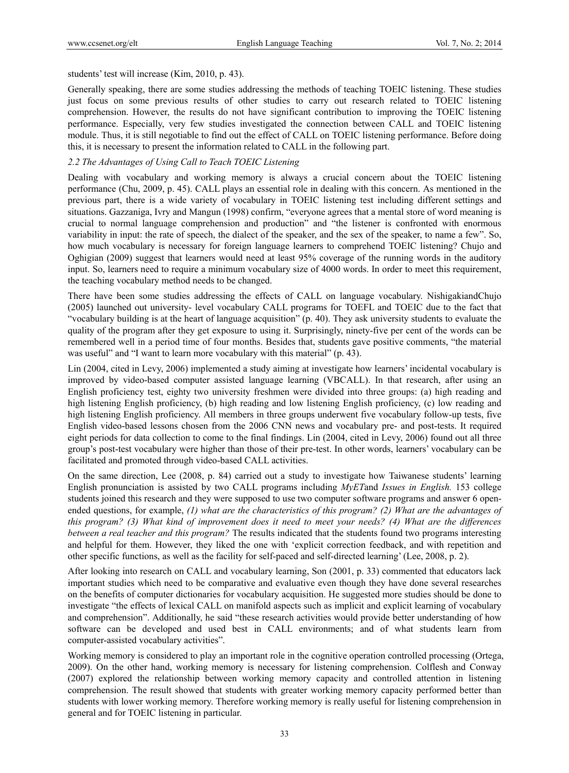# students' test will increase (Kim, 2010, p. 43).

Generally speaking, there are some studies addressing the methods of teaching TOEIC listening. These studies just focus on some previous results of other studies to carry out research related to TOEIC listening comprehension. However, the results do not have significant contribution to improving the TOEIC listening performance. Especially, very few studies investigated the connection between CALL and TOEIC listening module. Thus, it is still negotiable to find out the effect of CALL on TOEIC listening performance. Before doing this, it is necessary to present the information related to CALL in the following part.

# *2.2 The Advantages of Using Call to Teach TOEIC Listening*

Dealing with vocabulary and working memory is always a crucial concern about the TOEIC listening performance (Chu, 2009, p. 45). CALL plays an essential role in dealing with this concern. As mentioned in the previous part, there is a wide variety of vocabulary in TOEIC listening test including different settings and situations. Gazzaniga, Ivry and Mangun (1998) confirm, "everyone agrees that a mental store of word meaning is crucial to normal language comprehension and production" and "the listener is confronted with enormous variability in input: the rate of speech, the dialect of the speaker, and the sex of the speaker, to name a few". So, how much vocabulary is necessary for foreign language learners to comprehend TOEIC listening? Chujo and Oghigian (2009) suggest that learners would need at least 95% coverage of the running words in the auditory input. So, learners need to require a minimum vocabulary size of 4000 words. In order to meet this requirement, the teaching vocabulary method needs to be changed.

There have been some studies addressing the effects of CALL on language vocabulary. NishigakiandChujo (2005) launched out university- level vocabulary CALL programs for TOEFL and TOEIC due to the fact that "vocabulary building is at the heart of language acquisition" (p. 40). They ask university students to evaluate the quality of the program after they get exposure to using it. Surprisingly, ninety-five per cent of the words can be remembered well in a period time of four months. Besides that, students gave positive comments, "the material was useful" and "I want to learn more vocabulary with this material" (p. 43).

Lin (2004, cited in Levy, 2006) implemented a study aiming at investigate how learners' incidental vocabulary is improved by video-based computer assisted language learning (VBCALL). In that research, after using an English proficiency test, eighty two university freshmen were divided into three groups: (a) high reading and high listening English proficiency, (b) high reading and low listening English proficiency, (c) low reading and high listening English proficiency. All members in three groups underwent five vocabulary follow-up tests, five English video-based lessons chosen from the 2006 CNN news and vocabulary pre- and post-tests. It required eight periods for data collection to come to the final findings. Lin (2004, cited in Levy, 2006) found out all three group's post-test vocabulary were higher than those of their pre-test. In other words, learners' vocabulary can be facilitated and promoted through video-based CALL activities.

On the same direction, Lee (2008, p. 84) carried out a study to investigate how Taiwanese students' learning English pronunciation is assisted by two CALL programs including *MyET*and *Issues in English.* 153 college students joined this research and they were supposed to use two computer software programs and answer 6 openended questions, for example, *(1) what are the characteristics of this program? (2) What are the advantages of this program? (3) What kind of improvement does it need to meet your needs? (4) What are the differences between a real teacher and this program?* The results indicated that the students found two programs interesting and helpful for them. However, they liked the one with 'explicit correction feedback, and with repetition and other specific functions, as well as the facility for self-paced and self-directed learning' (Lee, 2008, p. 2).

After looking into research on CALL and vocabulary learning, Son (2001, p. 33) commented that educators lack important studies which need to be comparative and evaluative even though they have done several researches on the benefits of computer dictionaries for vocabulary acquisition. He suggested more studies should be done to investigate "the effects of lexical CALL on manifold aspects such as implicit and explicit learning of vocabulary and comprehension". Additionally, he said "these research activities would provide better understanding of how software can be developed and used best in CALL environments; and of what students learn from computer-assisted vocabulary activities".

Working memory is considered to play an important role in the cognitive operation controlled processing (Ortega, 2009). On the other hand, working memory is necessary for listening comprehension. Colflesh and Conway (2007) explored the relationship between working memory capacity and controlled attention in listening comprehension. The result showed that students with greater working memory capacity performed better than students with lower working memory. Therefore working memory is really useful for listening comprehension in general and for TOEIC listening in particular.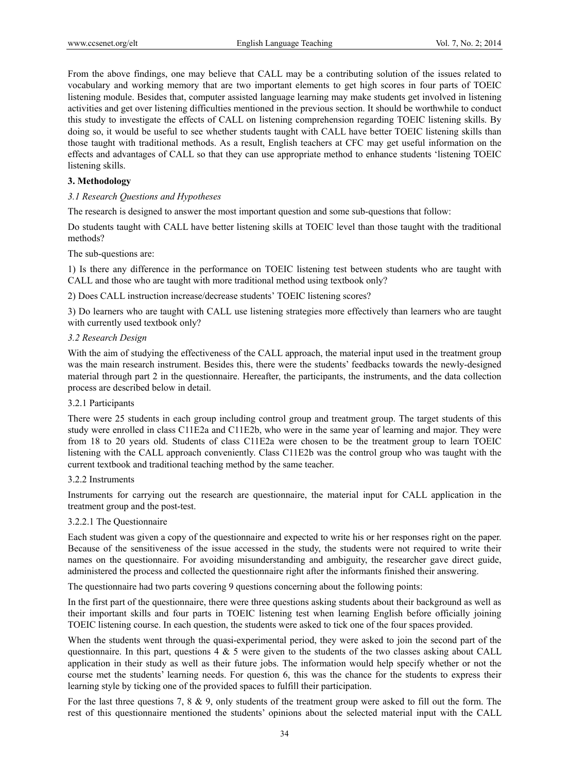From the above findings, one may believe that CALL may be a contributing solution of the issues related to vocabulary and working memory that are two important elements to get high scores in four parts of TOEIC listening module. Besides that, computer assisted language learning may make students get involved in listening activities and get over listening difficulties mentioned in the previous section. It should be worthwhile to conduct this study to investigate the effects of CALL on listening comprehension regarding TOEIC listening skills. By doing so, it would be useful to see whether students taught with CALL have better TOEIC listening skills than those taught with traditional methods. As a result, English teachers at CFC may get useful information on the effects and advantages of CALL so that they can use appropriate method to enhance students 'listening TOEIC listening skills.

# **3. Methodology**

#### *3.1 Research Questions and Hypotheses*

The research is designed to answer the most important question and some sub-questions that follow:

Do students taught with CALL have better listening skills at TOEIC level than those taught with the traditional methods?

#### The sub-questions are:

1) Is there any difference in the performance on TOEIC listening test between students who are taught with CALL and those who are taught with more traditional method using textbook only?

2) Does CALL instruction increase/decrease students' TOEIC listening scores?

3) Do learners who are taught with CALL use listening strategies more effectively than learners who are taught with currently used textbook only?

#### *3.2 Research Design*

With the aim of studying the effectiveness of the CALL approach, the material input used in the treatment group was the main research instrument. Besides this, there were the students' feedbacks towards the newly-designed material through part 2 in the questionnaire. Hereafter, the participants, the instruments, and the data collection process are described below in detail.

# 3.2.1 Participants

There were 25 students in each group including control group and treatment group. The target students of this study were enrolled in class C11E2a and C11E2b, who were in the same year of learning and major. They were from 18 to 20 years old. Students of class C11E2a were chosen to be the treatment group to learn TOEIC listening with the CALL approach conveniently. Class C11E2b was the control group who was taught with the current textbook and traditional teaching method by the same teacher.

#### 3.2.2 Instruments

Instruments for carrying out the research are questionnaire, the material input for CALL application in the treatment group and the post-test.

#### 3.2.2.1 The Questionnaire

Each student was given a copy of the questionnaire and expected to write his or her responses right on the paper. Because of the sensitiveness of the issue accessed in the study, the students were not required to write their names on the questionnaire. For avoiding misunderstanding and ambiguity, the researcher gave direct guide, administered the process and collected the questionnaire right after the informants finished their answering.

The questionnaire had two parts covering 9 questions concerning about the following points:

In the first part of the questionnaire, there were three questions asking students about their background as well as their important skills and four parts in TOEIC listening test when learning English before officially joining TOEIC listening course. In each question, the students were asked to tick one of the four spaces provided.

When the students went through the quasi-experimental period, they were asked to join the second part of the questionnaire. In this part, questions  $4 \& 5$  were given to the students of the two classes asking about CALL application in their study as well as their future jobs. The information would help specify whether or not the course met the students' learning needs. For question 6, this was the chance for the students to express their learning style by ticking one of the provided spaces to fulfill their participation.

For the last three questions 7, 8 & 9, only students of the treatment group were asked to fill out the form. The rest of this questionnaire mentioned the students' opinions about the selected material input with the CALL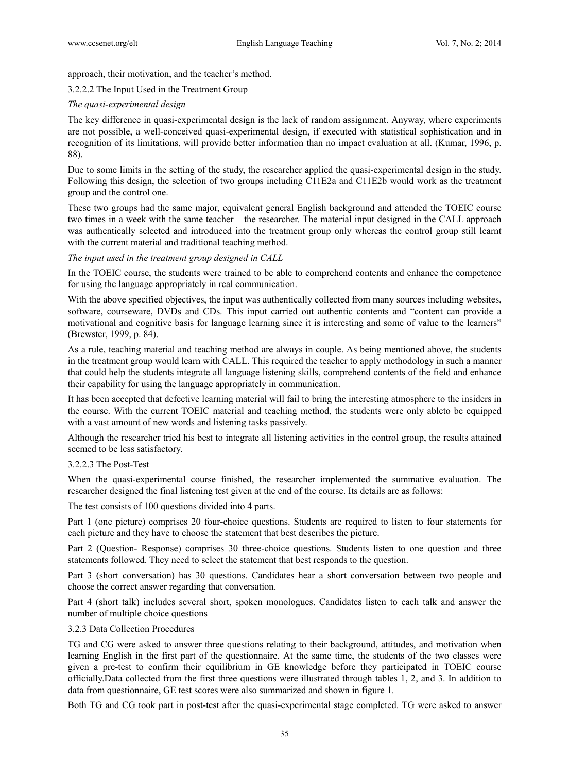approach, their motivation, and the teacher's method.

# 3.2.2.2 The Input Used in the Treatment Group

#### *The quasi-experimental design*

The key difference in quasi-experimental design is the lack of random assignment. Anyway, where experiments are not possible, a well-conceived quasi-experimental design, if executed with statistical sophistication and in recognition of its limitations, will provide better information than no impact evaluation at all. (Kumar, 1996, p. 88).

Due to some limits in the setting of the study, the researcher applied the quasi-experimental design in the study. Following this design, the selection of two groups including C11E2a and C11E2b would work as the treatment group and the control one.

These two groups had the same major, equivalent general English background and attended the TOEIC course two times in a week with the same teacher – the researcher. The material input designed in the CALL approach was authentically selected and introduced into the treatment group only whereas the control group still learnt with the current material and traditional teaching method.

# *The input used in the treatment group designed in CALL*

In the TOEIC course, the students were trained to be able to comprehend contents and enhance the competence for using the language appropriately in real communication.

With the above specified objectives, the input was authentically collected from many sources including websites, software, courseware, DVDs and CDs. This input carried out authentic contents and "content can provide a motivational and cognitive basis for language learning since it is interesting and some of value to the learners" (Brewster, 1999, p. 84).

As a rule, teaching material and teaching method are always in couple. As being mentioned above, the students in the treatment group would learn with CALL. This required the teacher to apply methodology in such a manner that could help the students integrate all language listening skills, comprehend contents of the field and enhance their capability for using the language appropriately in communication.

It has been accepted that defective learning material will fail to bring the interesting atmosphere to the insiders in the course. With the current TOEIC material and teaching method, the students were only ableto be equipped with a vast amount of new words and listening tasks passively.

Although the researcher tried his best to integrate all listening activities in the control group, the results attained seemed to be less satisfactory.

#### 3.2.2.3 The Post-Test

When the quasi-experimental course finished, the researcher implemented the summative evaluation. The researcher designed the final listening test given at the end of the course. Its details are as follows:

The test consists of 100 questions divided into 4 parts.

Part 1 (one picture) comprises 20 four-choice questions. Students are required to listen to four statements for each picture and they have to choose the statement that best describes the picture.

Part 2 (Question- Response) comprises 30 three-choice questions. Students listen to one question and three statements followed. They need to select the statement that best responds to the question.

Part 3 (short conversation) has 30 questions. Candidates hear a short conversation between two people and choose the correct answer regarding that conversation.

Part 4 (short talk) includes several short, spoken monologues. Candidates listen to each talk and answer the number of multiple choice questions

#### 3.2.3 Data Collection Procedures

TG and CG were asked to answer three questions relating to their background, attitudes, and motivation when learning English in the first part of the questionnaire. At the same time, the students of the two classes were given a pre-test to confirm their equilibrium in GE knowledge before they participated in TOEIC course officially.Data collected from the first three questions were illustrated through tables 1, 2, and 3. In addition to data from questionnaire, GE test scores were also summarized and shown in figure 1.

Both TG and CG took part in post-test after the quasi-experimental stage completed. TG were asked to answer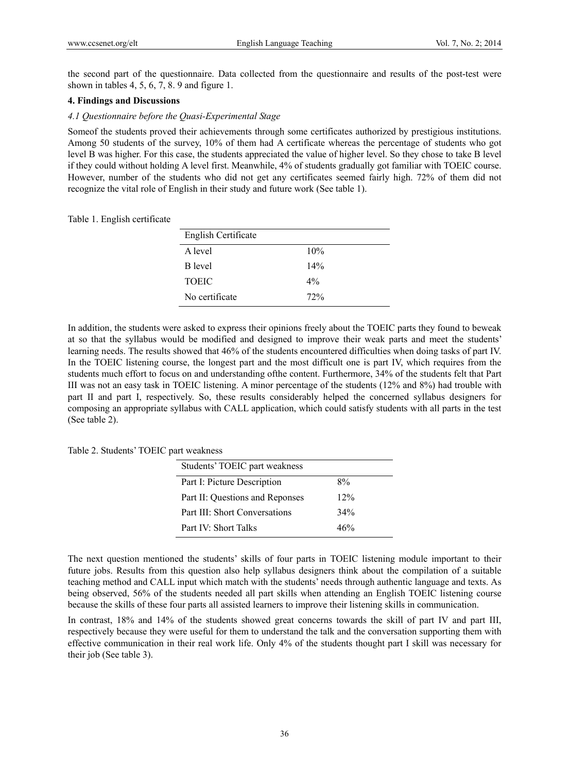the second part of the questionnaire. Data collected from the questionnaire and results of the post-test were shown in tables 4, 5, 6, 7, 8. 9 and figure 1.

# **4. Findings and Discussions**

#### *4.1 Questionnaire before the Quasi-Experimental Stage*

Someof the students proved their achievements through some certificates authorized by prestigious institutions. Among 50 students of the survey, 10% of them had A certificate whereas the percentage of students who got level B was higher. For this case, the students appreciated the value of higher level. So they chose to take B level if they could without holding A level first. Meanwhile, 4% of students gradually got familiar with TOEIC course. However, number of the students who did not get any certificates seemed fairly high. 72% of them did not recognize the vital role of English in their study and future work (See table 1).

Table 1. English certificate

| English Certificate |       |
|---------------------|-------|
| A level             | 10%   |
| B level             | 14%   |
| <b>TOEIC</b>        | $4\%$ |
| No certificate      | 72%   |

In addition, the students were asked to express their opinions freely about the TOEIC parts they found to beweak at so that the syllabus would be modified and designed to improve their weak parts and meet the students' learning needs. The results showed that 46% of the students encountered difficulties when doing tasks of part IV. In the TOEIC listening course, the longest part and the most difficult one is part IV, which requires from the students much effort to focus on and understanding ofthe content. Furthermore, 34% of the students felt that Part III was not an easy task in TOEIC listening. A minor percentage of the students (12% and 8%) had trouble with part II and part I, respectively. So, these results considerably helped the concerned syllabus designers for composing an appropriate syllabus with CALL application, which could satisfy students with all parts in the test (See table 2).

Table 2. Students' TOEIC part weakness

| Students' TOEIC part weakness   |       |
|---------------------------------|-------|
| Part I: Picture Description     | $8\%$ |
| Part II: Questions and Reponses | 12%   |
| Part III: Short Conversations   | 34%   |
| Part IV: Short Talks            | 46%   |

The next question mentioned the students' skills of four parts in TOEIC listening module important to their future jobs. Results from this question also help syllabus designers think about the compilation of a suitable teaching method and CALL input which match with the students' needs through authentic language and texts. As being observed, 56% of the students needed all part skills when attending an English TOEIC listening course because the skills of these four parts all assisted learners to improve their listening skills in communication.

In contrast, 18% and 14% of the students showed great concerns towards the skill of part IV and part III, respectively because they were useful for them to understand the talk and the conversation supporting them with effective communication in their real work life. Only 4% of the students thought part I skill was necessary for their job (See table 3).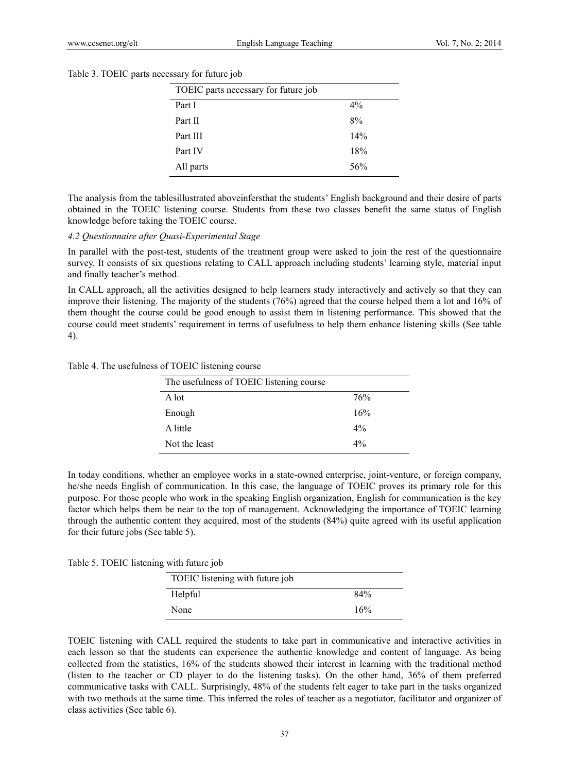# Table 3. TOEIC parts necessary for future job

| TOEIC parts necessary for future job |       |
|--------------------------------------|-------|
| Part I                               | $4\%$ |
| Part II                              | 8%    |
| Part III                             | 14%   |
| Part IV                              | 18%   |
| All parts                            | 56%   |

The analysis from the tablesillustrated aboveinfersthat the students' English background and their desire of parts obtained in the TOEIC listening course. Students from these two classes benefit the same status of English knowledge before taking the TOEIC course.

#### *4.2 Questionnaire after Quasi-Experimental Stage*

In parallel with the post-test, students of the treatment group were asked to join the rest of the questionnaire survey. It consists of six questions relating to CALL approach including students' learning style, material input and finally teacher's method.

In CALL approach, all the activities designed to help learners study interactively and actively so that they can improve their listening. The majority of the students (76%) agreed that the course helped them a lot and 16% of them thought the course could be good enough to assist them in listening performance. This showed that the course could meet students' requirement in terms of usefulness to help them enhance listening skills (See table 4).

Table 4. The usefulness of TOEIC listening course

| The usefulness of TOEIC listening course |       |
|------------------------------------------|-------|
| A lot                                    | 76%   |
| Enough                                   | 16%   |
| A little                                 | $4\%$ |
| Not the least                            | $4\%$ |

In today conditions, whether an employee works in a state-owned enterprise, joint-venture, or foreign company, he/she needs English of communication. In this case, the language of TOEIC proves its primary role for this purpose. For those people who work in the speaking English organization, English for communication is the key factor which helps them be near to the top of management. Acknowledging the importance of TOEIC learning through the authentic content they acquired, most of the students (84%) quite agreed with its useful application for their future jobs (See table 5).

Table 5. TOEIC listening with future job

| TOEIC listening with future job |     |
|---------------------------------|-----|
| Helpful                         | 84% |
| None                            | 16% |

TOEIC listening with CALL required the students to take part in communicative and interactive activities in each lesson so that the students can experience the authentic knowledge and content of language. As being collected from the statistics, 16% of the students showed their interest in learning with the traditional method (listen to the teacher or CD player to do the listening tasks). On the other hand, 36% of them preferred communicative tasks with CALL. Surprisingly, 48% of the students felt eager to take part in the tasks organized with two methods at the same time. This inferred the roles of teacher as a negotiator, facilitator and organizer of class activities (See table 6).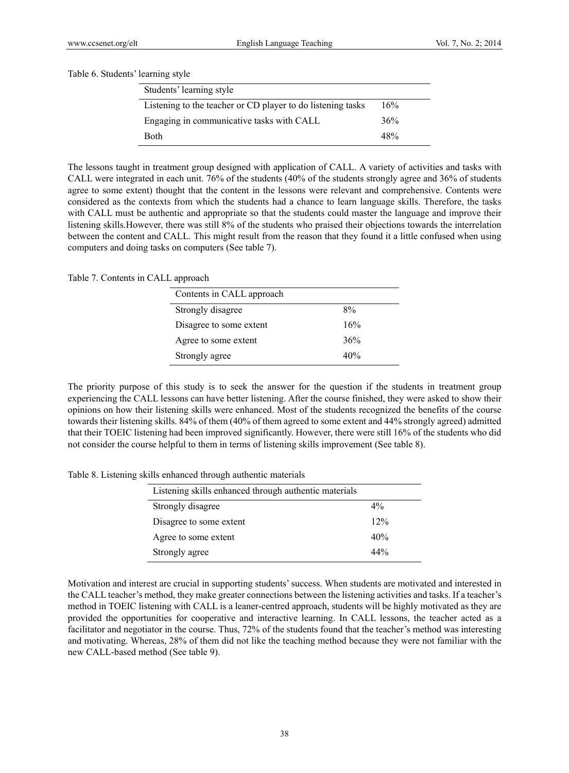| Students' learning style                                    |     |
|-------------------------------------------------------------|-----|
| Listening to the teacher or CD player to do listening tasks | 16% |
| Engaging in communicative tasks with CALL                   | 36% |
| Both                                                        | 48% |

The lessons taught in treatment group designed with application of CALL. A variety of activities and tasks with CALL were integrated in each unit. 76% of the students (40% of the students strongly agree and 36% of students agree to some extent) thought that the content in the lessons were relevant and comprehensive. Contents were considered as the contexts from which the students had a chance to learn language skills. Therefore, the tasks with CALL must be authentic and appropriate so that the students could master the language and improve their listening skills.However, there was still 8% of the students who praised their objections towards the interrelation between the content and CALL. This might result from the reason that they found it a little confused when using computers and doing tasks on computers (See table 7).

#### Table 7. Contents in CALL approach

| Contents in CALL approach |       |
|---------------------------|-------|
| Strongly disagree         | $8\%$ |
| Disagree to some extent   | 16%   |
| Agree to some extent      | 36%   |
| Strongly agree            | 40%   |
|                           |       |

The priority purpose of this study is to seek the answer for the question if the students in treatment group experiencing the CALL lessons can have better listening. After the course finished, they were asked to show their opinions on how their listening skills were enhanced. Most of the students recognized the benefits of the course towards their listening skills. 84% of them (40% of them agreed to some extent and 44% strongly agreed) admitted that their TOEIC listening had been improved significantly. However, there were still 16% of the students who did not consider the course helpful to them in terms of listening skills improvement (See table 8).

Table 8. Listening skills enhanced through authentic materials

| Listening skills enhanced through authentic materials |        |
|-------------------------------------------------------|--------|
| Strongly disagree                                     | $4\%$  |
| Disagree to some extent                               | $12\%$ |
| Agree to some extent                                  | 40%    |
| Strongly agree                                        | 44%    |

Motivation and interest are crucial in supporting students' success. When students are motivated and interested in the CALL teacher's method, they make greater connections between the listening activities and tasks. If a teacher's method in TOEIC listening with CALL is a leaner-centred approach, students will be highly motivated as they are provided the opportunities for cooperative and interactive learning. In CALL lessons, the teacher acted as a facilitator and negotiator in the course. Thus, 72% of the students found that the teacher's method was interesting and motivating. Whereas, 28% of them did not like the teaching method because they were not familiar with the new CALL-based method (See table 9).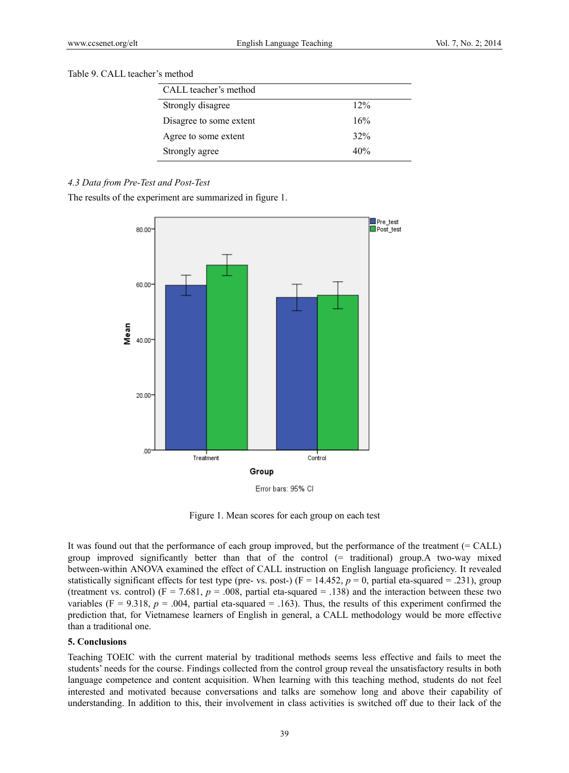# Table 9. CALL teacher's method

| CALL teacher's method   |        |
|-------------------------|--------|
| Strongly disagree       | $12\%$ |
| Disagree to some extent | 16%    |
| Agree to some extent    | 32%    |
| Strongly agree          | 40%    |

# *4.3 Data from Pre-Test and Post-Test*

The results of the experiment are summarized in figure 1.



Figure 1. Mean scores for each group on each test

It was found out that the performance of each group improved, but the performance of the treatment (= CALL) group improved significantly better than that of the control (= traditional) group.A two-way mixed between-within ANOVA examined the effect of CALL instruction on English language proficiency. It revealed statistically significant effects for test type (pre- vs. post-)  $(F = 14.452, p = 0,$  partial eta-squared = .231), group (treatment vs. control)  $(F = 7.681, p = .008,$  partial eta-squared  $= .138$ ) and the interaction between these two variables ( $F = 9.318$ ,  $p = .004$ , partial eta-squared = .163). Thus, the results of this experiment confirmed the prediction that, for Vietnamese learners of English in general, a CALL methodology would be more effective than a traditional one.

# **5. Conclusions**

Teaching TOEIC with the current material by traditional methods seems less effective and fails to meet the students' needs for the course. Findings collected from the control group reveal the unsatisfactory results in both language competence and content acquisition. When learning with this teaching method, students do not feel interested and motivated because conversations and talks are somehow long and above their capability of understanding. In addition to this, their involvement in class activities is switched off due to their lack of the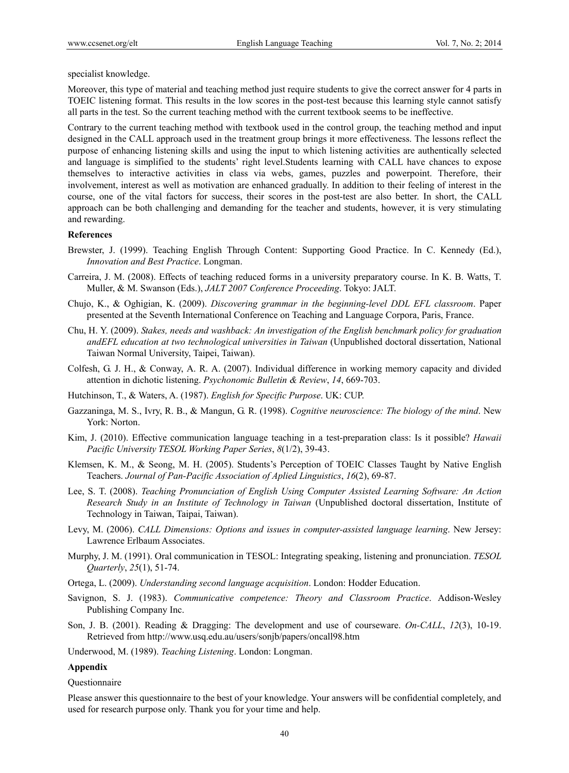specialist knowledge.

Moreover, this type of material and teaching method just require students to give the correct answer for 4 parts in TOEIC listening format. This results in the low scores in the post-test because this learning style cannot satisfy all parts in the test. So the current teaching method with the current textbook seems to be ineffective.

Contrary to the current teaching method with textbook used in the control group, the teaching method and input designed in the CALL approach used in the treatment group brings it more effectiveness. The lessons reflect the purpose of enhancing listening skills and using the input to which listening activities are authentically selected and language is simplified to the students' right level.Students learning with CALL have chances to expose themselves to interactive activities in class via webs, games, puzzles and powerpoint. Therefore, their involvement, interest as well as motivation are enhanced gradually. In addition to their feeling of interest in the course, one of the vital factors for success, their scores in the post-test are also better. In short, the CALL approach can be both challenging and demanding for the teacher and students, however, it is very stimulating and rewarding.

#### **References**

- Brewster, J. (1999). Teaching English Through Content: Supporting Good Practice. In C. Kennedy (Ed.), *Innovation and Best Practice*. Longman.
- Carreira, J. M. (2008). Effects of teaching reduced forms in a university preparatory course. In K. B. Watts, T. Muller, & M. Swanson (Eds.), *JALT 2007 Conference Proceeding*. Tokyo: JALT.
- Chujo, K., & Oghigian, K. (2009). *Discovering grammar in the beginning-level DDL EFL classroom*. Paper presented at the Seventh International Conference on Teaching and Language Corpora, Paris, France.
- Chu, H. Y. (2009). *Stakes, needs and washback: An investigation of the English benchmark policy for graduation andEFL education at two technological universities in Taiwan* (Unpublished doctoral dissertation, National Taiwan Normal University, Taipei, Taiwan).
- Colfesh, G. J. H., & Conway, A. R. A. (2007). Individual difference in working memory capacity and divided attention in dichotic listening. *Psychonomic Bulletin & Review*, *14*, 669-703.
- Hutchinson, T., & Waters, A. (1987). *English for Specific Purpose*. UK: CUP.
- Gazzaninga, M. S., Ivry, R. B., & Mangun, G. R. (1998). *Cognitive neuroscience: The biology of the mind*. New York: Norton.
- Kim, J. (2010). Effective communication language teaching in a test-preparation class: Is it possible? *Hawaii Pacific University TESOL Working Paper Series*, *8*(1/2), 39-43.
- Klemsen, K. M., & Seong, M. H. (2005). Students's Perception of TOEIC Classes Taught by Native English Teachers. *Journal of Pan-Pacific Association of Aplied Linguistics*, *16*(2), 69-87.
- Lee, S. T. (2008). *Teaching Pronunciation of English Using Computer Assisted Learning Software: An Action Research Study in an Institute of Technology in Taiwan* (Unpublished doctoral dissertation, Institute of Technology in Taiwan, Taipai, Taiwan).
- Levy, M. (2006). *CALL Dimensions: Options and issues in computer-assisted language learning*. New Jersey: Lawrence Erlbaum Associates.
- Murphy, J. M. (1991). Oral communication in TESOL: Integrating speaking, listening and pronunciation. *TESOL Quarterly*, *25*(1), 51-74.
- Ortega, L. (2009). *Understanding second language acquisition*. London: Hodder Education.
- Savignon, S. J. (1983). *Communicative competence: Theory and Classroom Practice*. Addison-Wesley Publishing Company Inc.
- Son, J. B. (2001). Reading & Dragging: The development and use of courseware. *On-CALL*, *12*(3), 10-19. Retrieved from http://www.usq.edu.au/users/sonjb/papers/oncall98.htm

Underwood, M. (1989). *Teaching Listening*. London: Longman.

# **Appendix**

Questionnaire

Please answer this questionnaire to the best of your knowledge. Your answers will be confidential completely, and used for research purpose only. Thank you for your time and help.